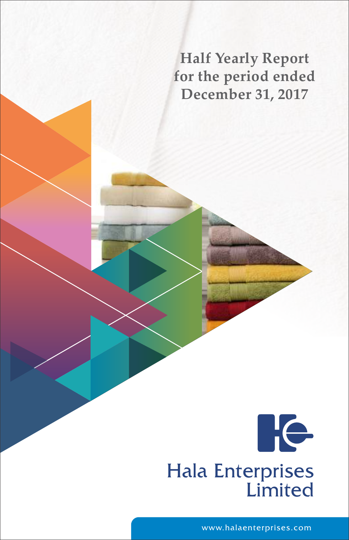**Half Yearly Report for the period ended December 31, 2017**



www.halaenterprises.com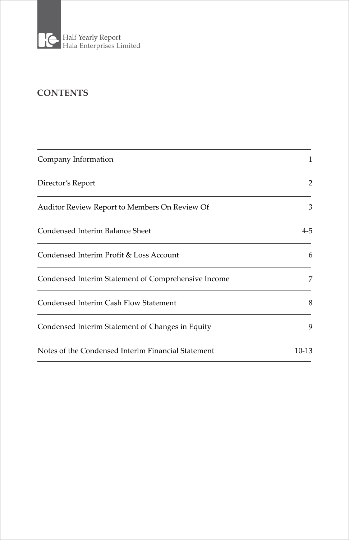

# **CONTENTS**

| Company Information                                 | 1       |
|-----------------------------------------------------|---------|
| Director's Report                                   | 2       |
| Auditor Review Report to Members On Review Of       | 3       |
| Condensed Interim Balance Sheet                     | $4 - 5$ |
| Condensed Interim Profit & Loss Account             | 6       |
| Condensed Interim Statement of Comprehensive Income | 7       |
| Condensed Interim Cash Flow Statement               | 8       |
| Condensed Interim Statement of Changes in Equity    | 9       |
| Notes of the Condensed Interim Financial Statement  | $10-13$ |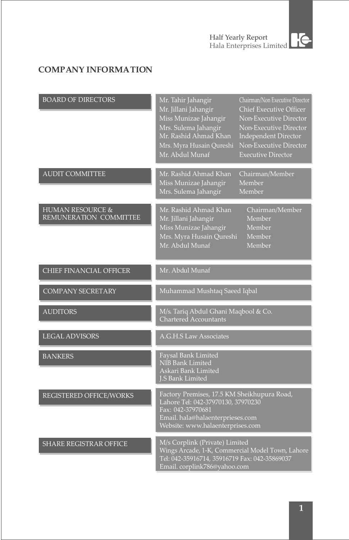

# **COMPANY INFORMATION**

| <b>BOARD OF DIRECTORS</b>                             | Mr. Tahir Jahangir<br>Chairman/Non Executive Director<br>Mr. Jillani Jahangir<br>Chief Executive Officer<br>Miss Munizae Jahangir<br>Non-Executive Director<br>Mrs. Sulema Jahangir<br>Non-Executive Director<br>Mr. Rashid Ahmad Khan<br>Independent Director<br>Non-Executive Director<br>Mrs. Myra Husain Qureshi<br>Mr. Abdul Munaf<br><b>Executive Director</b> |
|-------------------------------------------------------|----------------------------------------------------------------------------------------------------------------------------------------------------------------------------------------------------------------------------------------------------------------------------------------------------------------------------------------------------------------------|
| <b>AUDIT COMMITTEE</b>                                | Mr. Rashid Ahmad Khan<br>Chairman/Member<br>Miss Munizae Jahangir<br>Member<br>Mrs. Sulema Jahangir<br>Member                                                                                                                                                                                                                                                        |
| <b>HUMAN RESOURCE &amp;</b><br>REMUNERATION COMMITTEE | Mr. Rashid Ahmad Khan<br>Chairman/Member<br>Mr. Jillani Jahangir<br>Member<br>Miss Munizae Jahangir<br>Member<br>Mrs. Myra Husain Qureshi<br>Member<br>Mr. Abdul Munaf<br>Member                                                                                                                                                                                     |
| <b>CHIEF FINANCIAL OFFICER</b>                        | Mr. Abdul Munaf                                                                                                                                                                                                                                                                                                                                                      |
| <b>COMPANY SECRETARY</b>                              | Muhammad Mushtaq Saeed Iqbal                                                                                                                                                                                                                                                                                                                                         |
| <b>AUDITORS</b>                                       | M/s. Tariq Abdul Ghani Maqbool & Co.<br><b>Chartered Accountants</b>                                                                                                                                                                                                                                                                                                 |
| <b>LEGAL ADVISORS</b>                                 | A.G.H.S Law Associates                                                                                                                                                                                                                                                                                                                                               |
| <b>BANKERS</b>                                        | Faysal Bank Limited<br>NIB Bank Limited<br>Askari Bank Limited<br><b>J.S Bank Limited</b>                                                                                                                                                                                                                                                                            |
| REGISTERED OFFICE/WORKS                               | Factory Premises, 17.5 KM Sheikhupura Road,<br>Lahore Tel: 042-37970130, 37970230<br>Fax: 042-37970681<br>Email. hala@halaenterprieses.com<br>Website: www.halaenterprises.com                                                                                                                                                                                       |
| SHARE REGISTRAR OFFICE                                | M/s Corplink (Private) Limited<br>Wings Arcade, 1-K, Commercial Model Town, Lahore<br>Tel: 042-35916714, 35916719 Fax: 042-35869037<br>Email. corplink786@yahoo.com                                                                                                                                                                                                  |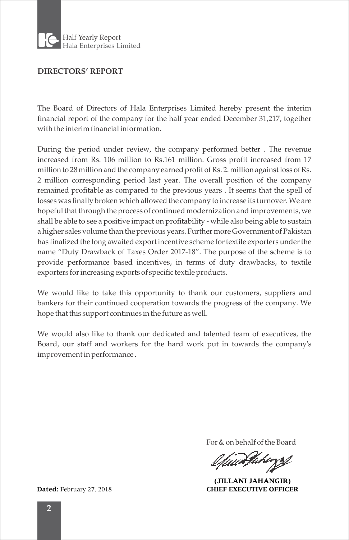

### **DIRECTORS' REPORT**

The Board of Directors of Hala Enterprises Limited hereby present the interim financial report of the company for the half year ended December 31,217, together with the interim financial information.

During the period under review, the company performed better . The revenue increased from Rs. 106 million to Rs.161 million. Gross profit increased from 17 million to 28 million and the company earned profit of Rs. 2. million against loss of Rs. 2 million corresponding period last year. The overall position of the company remained profitable as compared to the previous years . It seems that the spell of losses was finally broken which allowed the company to increase its turnover. We are hopeful that through the process of continued modernization and improvements, we shall be able to see a positive impact on profitability - while also being able to sustain a higher sales volume than the previous years. Further more Government of Pakistan has finalized the long awaited export incentive scheme for textile exporters under the name "Duty Drawback of Taxes Order 2017-18". The purpose of the scheme is to provide performance based incentives, in terms of duty drawbacks, to textile exporters for increasing exports of specific textile products.

We would like to take this opportunity to thank our customers, suppliers and bankers for their continued cooperation towards the progress of the company. We hope that this support continues in the future as well.

We would also like to thank our dedicated and talented team of executives, the Board, our staff and workers for the hard work put in towards the company's improvement in performance .

For & on behalf of the Board

Uun far

**(JILLANI JAHANGIR) Dated:** February 27, 2018 **CHIEF EXECUTIVE OFFICER**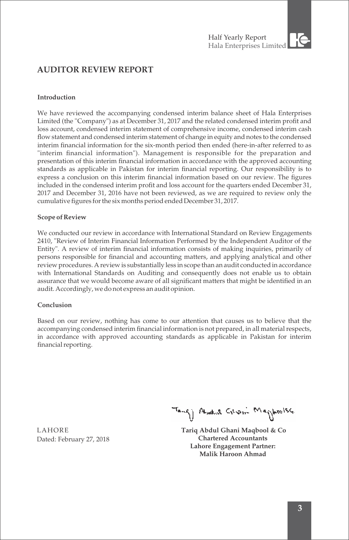# **AUDITOR REVIEW REPORT**

### **Introduction**

We have reviewed the accompanying condensed interim balance sheet of Hala Enterprises Limited (the ''Company") as at December 31, 2017 and the related condensed interim profit and loss account, condensed interim statement of comprehensive income, condensed interim cash flow statement and condensed interim statement of change in equity and notes to the condensed interim financial information for the six-month period then ended (here-in-after referred to as "interim financial information"). Management is responsible for the preparation and presentation of this interim financial information in accordance with the approved accounting standards as applicable in Pakistan for interim financial reporting. Our responsibility is to express a conclusion on this interim financial information based on our review. The figures included in the condensed interim profit and loss account for the quarters ended December 31, 2017 and December 31, 2016 have not been reviewed, as we are required to review only the cumulative figures for the six months period ended December 31, 2017.

### **Scope of Review**

We conducted our review in accordance with International Standard on Review Engagements 2410, "Review of Interim Financial Information Performed by the Independent Auditor of the Entity". A review of interim financial information consists of making inquiries, primarily of persons responsible for financial and accounting matters, and applying analytical and other review procedures. A review is substantially less in scope than an audit conducted in accordance with International Standards on Auditing and consequently does not enable us to obtain assurance that we would become aware of all significant matters that might be identified in an audit. Accordingly, we do not express an audit opinion.

### **Conclusion**

Based on our review, nothing has come to our attention that causes us to believe that the accompanying condensed interim financial information is not prepared, in all material respects, in accordance with approved accounting standards as applicable in Pakistan for interim financial reporting.

Tang) Andre Grow Maghesise

 **Tariq Abdul Ghani Maqbool & Co Chartered Accountants Lahore Engagement Partner: Malik Haroon Ahmad** 

LAHORE Dated: February 27, 2018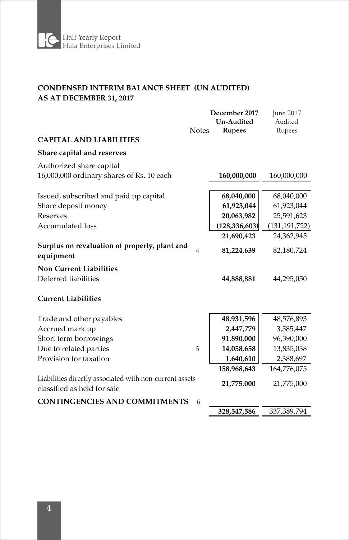

### **CONDENSED INTERIM BALANCE SHEET (UN AUDITED) AS AT DECEMBER 31, 2017**

| <b>CAPITAL AND LIABILITIES</b><br>Share capital and reserves<br>Authorized share capital<br>16,000,000 ordinary shares of Rs. 10 each                                                                                                                                               | 160,000,000<br>68,040,000                                                                     | 160,000,000                                                                                         |
|-------------------------------------------------------------------------------------------------------------------------------------------------------------------------------------------------------------------------------------------------------------------------------------|-----------------------------------------------------------------------------------------------|-----------------------------------------------------------------------------------------------------|
|                                                                                                                                                                                                                                                                                     |                                                                                               |                                                                                                     |
|                                                                                                                                                                                                                                                                                     |                                                                                               |                                                                                                     |
|                                                                                                                                                                                                                                                                                     |                                                                                               |                                                                                                     |
| Issued, subscribed and paid up capital<br>Share deposit money<br><b>Reserves</b><br><b>Accumulated loss</b><br>Surplus on revaluation of property, plant and<br>$\overline{4}$<br>equipment<br><b>Non Current Liabilities</b><br>Deferred liabilities<br><b>Current Liabilities</b> | 61,923,044<br>20,063,982<br>(128, 336, 603)<br>21,690,423<br>81,224,639<br>44,888,881         | 68,040,000<br>61,923,044<br>25,591,623<br>(131, 191, 722)<br>24,362,945<br>82,180,724<br>44,295,050 |
| Trade and other payables<br>Accrued mark up<br>Short term borrowings<br>Due to related parties<br>5<br>Provision for taxation<br>Liabilities directly associated with non-current assets<br>classified as held for sale<br><b>CONTINGENCIES AND COMMITMENTS</b><br>6                | 48,931,596<br>2,447,779<br>91,890,000<br>14,058,658<br>1,640,610<br>158,968,643<br>21,775,000 | 48,576,893<br>3,585,447<br>96,390,000<br>13,835,038<br>2,388,697<br>164,776,075<br>21,775,000       |
|                                                                                                                                                                                                                                                                                     | 328,547,586                                                                                   | 337,389,794                                                                                         |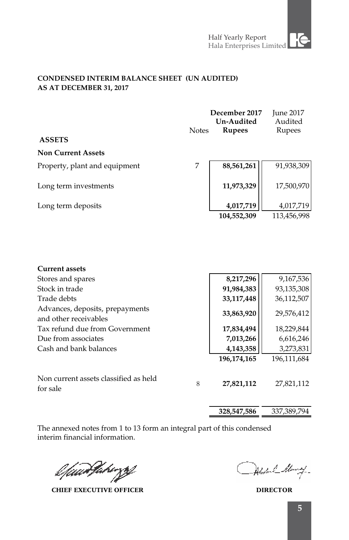### **CONDENSED INTERIM BALANCE SHEET (UN AUDITED) AS AT DECEMBER 31, 2017**

| <b>ASSETS</b>                                            | <b>Notes</b> | December 2017<br>Un-Audited<br><b>Rupees</b> | <b>June 2017</b><br>Audited<br>Rupees |
|----------------------------------------------------------|--------------|----------------------------------------------|---------------------------------------|
| <b>Non Current Assets</b>                                |              |                                              |                                       |
| Property, plant and equipment                            | 7            | 88,561,261                                   | 91,938,309                            |
| Long term investments                                    |              | 11,973,329                                   | 17,500,970                            |
| Long term deposits                                       |              | 4,017,719<br>104,552,309                     | 4,017,719<br>113,456,998              |
|                                                          |              |                                              |                                       |
| <b>Current assets</b>                                    |              |                                              |                                       |
| Stores and spares                                        |              | 8,217,296                                    | 9,167,536                             |
| Stock in trade                                           |              | 91,984,383                                   | 93,135,308                            |
| Trade debts                                              |              | 33,117,448                                   | 36,112,507                            |
| Advances, deposits, prepayments<br>and other receivables |              | 33,863,920                                   | 29,576,412                            |
| Tax refund due from Government                           |              | 17,834,494                                   | 18,229,844                            |
| Due from associates                                      |              | 7,013,266                                    | 6,616,246                             |
| Cash and bank balances                                   |              | 4,143,358                                    | 3,273,831                             |
|                                                          |              | 196,174,165                                  | 196,111,684                           |
| Non current assets classified as held                    | 8            | 27,821,112                                   | 27,821,112                            |
|                                                          |              |                                              |                                       |

for sale

**328,547,586** 337,389,794

l*fuanJakirzy* 

**CHIEF EXECUTIVE OFFICER DIRECTOR**

Abstral Many-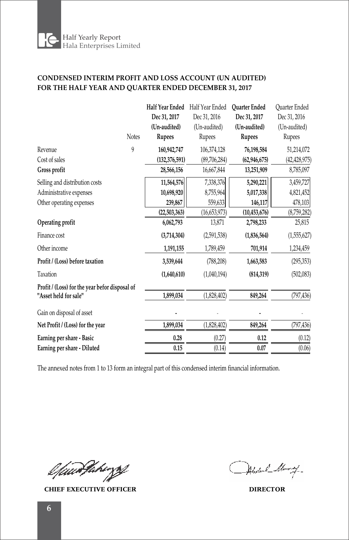

### **CONDENSED INTERIM PROFIT AND LOSS ACCOUNT (UN AUDITED) FOR THE HALF YEAR AND QUARTER ENDED DECEMBER 31, 2017**

|                                                |              | Half Year Ended | Half Year Ended     | <b>Ouarter Ended</b> | <b>Ouarter Ended</b> |
|------------------------------------------------|--------------|-----------------|---------------------|----------------------|----------------------|
|                                                |              | Dec 31, 2017    | Dec 31, 2016        | Dec 31, 2017         | Dec 31, 2016         |
|                                                |              | (Un-audited)    | (Un-audited)        | (Un-audited)         | (Un-audited)         |
|                                                | <b>Notes</b> | Rupees          | Rupees              | Rupees               | Rupees               |
| Revenue                                        | 9            | 160,942,747     | 106,374,128         | 76,198,584           | 51,214,072           |
| Cost of sales                                  |              | (132, 376, 591) | (89,706,284)        | (62, 946, 675)       | (42, 428, 975)       |
| Gross profit                                   |              | 28,566,156      | 16,667,844          | 13,251,909           | 8,785,097            |
| Selling and distribution costs                 |              | 11,564,576      | 7,338,376           | 5,290,221            | 3,459,727            |
| Administrative expenses                        |              | 10,698,920      | 8,755,964           | 5,017,338            | 4,821,452            |
| Other operating expenses                       |              | 239,867         | 559,633             | 146,117              | 478,103              |
|                                                |              | (22,503,363)    | (16,653,973)        | (10, 453, 676)       | (8,759,282)          |
| Operating profit                               |              | 6,062,793       | 13,871              | 2,798,233            | 25,815               |
| Finance cost                                   |              | (3,714,304)     | (2,591,538)         | (1,836,564)          | (1, 555, 627)        |
| Other income                                   |              | 1,191,155       | 1,789,459           | 701,914              | 1,234,459            |
| Profit / (Loss) before taxation                |              | 3,539,644       | (788, 208)          | 1,663,583            | (295, 353)           |
| Taxation                                       |              | (1,640,610)     | (1,040,194)         | (814, 319)           | (502,083)            |
| Profit / (Loss) for the year befor disposal of |              |                 |                     |                      |                      |
| "Asset held for sale"                          |              | 1,899,034       | (1,828,402)         | 849,264              | (797, 436)           |
| Gain on disposal of asset                      |              |                 |                     |                      |                      |
| Net Profit / (Loss) for the year               |              | 1,899,034       | (1,828,402)         | 849,264              | (797, 436)           |
| Earning per share - Basic                      |              | 0.28            | (0.27)              | 0.12                 | (0.12)               |
| Earning per share - Diluted                    |              | 0.15            | $(0.\overline{14})$ | 0.07                 | (0.06)               |
|                                                |              |                 |                     |                      |                      |

The annexed notes from 1 to 13 form an integral part of this condensed interim financial information.

l fuurthehiyof

**CHIEF EXECUTIVE OFFICER DIRECTOR**

Abstral Many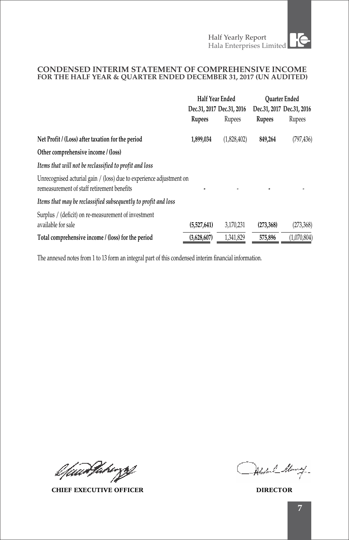### **CONDENSED INTERIM STATEMENT OF COMPREHENSIVE INCOME FOR THE HALF YEAR & QUARTER ENDED DECEMBER 31, 2017 (UN AUDITED)**

|                                                                                                                   | Half Year Ended           |             | <b>Ouarter Ended</b>      |             |
|-------------------------------------------------------------------------------------------------------------------|---------------------------|-------------|---------------------------|-------------|
|                                                                                                                   | Dec.31, 2017 Dec.31, 2016 |             | Dec.31, 2017 Dec.31, 2016 |             |
|                                                                                                                   | Rupees                    | Rupees      | Rupees                    | Rupees      |
| Net Profit / (Loss) after taxation for the period                                                                 | 1,899,034                 | (1,828,402) | 849,264                   | (797, 436)  |
| Other comprehensive income / (loss)                                                                               |                           |             |                           |             |
| Items that will not be reclassified to profit and loss                                                            |                           |             |                           |             |
| Unrecognised acturial gain / (loss) due to experience adjustment on<br>remeasurement of staff retirement benefits |                           |             |                           |             |
| Items that may be reclassified subsequently to profit and loss                                                    |                           |             |                           |             |
| Surplus / (deficit) on re-measurement of investment<br>available for sale                                         | (5,527,641)               | 3,170,231   | (273, 368)                | (273,368)   |
| Total comprehensive income / (loss) for the period                                                                | (3,628,607)               | 1,341,829   | 575,896                   | (1,070,804) |

l*fuarfake*zzt

**CHIEF EXECUTIVE OFFICER DIRECTOR**

Abstral Many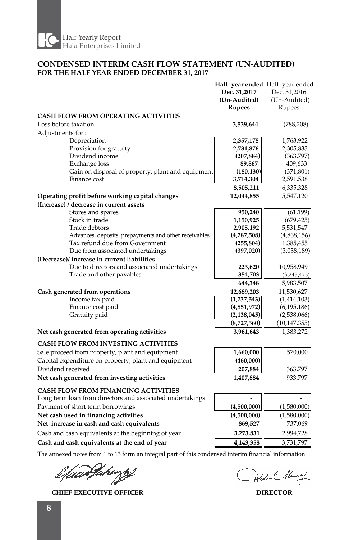

### **CONDENSED INTERIM CASH FLOW STATEMENT (UN-AUDITED) FOR THE HALF YEAR ENDED DECEMBER 31, 2017**

|                                                                                        | Half year ended Half year ended |                   |
|----------------------------------------------------------------------------------------|---------------------------------|-------------------|
|                                                                                        | Dec. 31,2017                    | Dec. 31,2016      |
|                                                                                        | (Un-Audited)                    | (Un-Audited)      |
|                                                                                        | <b>Rupees</b>                   | Rupees            |
| CASH FLOW FROM OPERATING ACTIVITIES                                                    |                                 |                   |
| Loss before taxation                                                                   | 3,539,644                       | (788, 208)        |
| Adjustments for:                                                                       |                                 |                   |
| Depreciation                                                                           | 2,357,178                       | 1,763,922         |
| Provision for gratuity                                                                 | 2,731,876                       | 2,305,833         |
| Dividend income                                                                        | (207, 884)                      | (363,797)         |
| Exchange loss                                                                          | 89,867                          | 409,633           |
| Gain on disposal of property, plant and equipment                                      | (180, 130)                      | (371, 801)        |
| Finance cost                                                                           | 3,714,304                       | 2,591,538         |
|                                                                                        | 8,505,211                       | 6,335,328         |
| Operating profit before working capital changes                                        | 12,044,855                      | 5,547,120         |
| (Increase) / decrease in current assets                                                |                                 |                   |
| Stores and spares                                                                      | 950,240                         | (61, 199)         |
| Stock in trade                                                                         | 1,150,925                       | (679, 425)        |
| Trade debtors                                                                          | 2,905,192                       | 5,531,547         |
| Advances, deposits, prepayments and other receivables                                  | (4,287,508)                     | (4,868,156)       |
| Tax refund due from Government                                                         | (255, 804)                      | 1,385,455         |
| Due from associated undertakings                                                       | (397, 020)                      | (3,038,189)       |
| (Decrease)/ increase in current liabilities                                            |                                 |                   |
| Due to directors and associated undertakings                                           | 223,620                         | 10,958,949        |
| Trade and other payables                                                               | 354,703                         | (3,245,475)       |
|                                                                                        | 644,348                         | 5,983,507         |
| Cash generated from operations                                                         | 12,689,203                      | 11,530,627        |
| Income tax paid                                                                        | (1,737,543)                     | (1,414,103)       |
| Finance cost paid                                                                      | (4,851,972)                     | (6, 195, 186)     |
| Gratuity paid                                                                          | (2, 138, 045)                   | (2,538,066)       |
|                                                                                        | (8,727,560)                     | (10, 147, 355)    |
| Net cash generated from operating activities                                           | 3,961,643                       | 1,383,272         |
| <b>CASH FLOW FROM INVESTING ACTIVITIES</b>                                             |                                 |                   |
| Sale proceed from property, plant and equipment                                        | 1,660,000                       | 570,000           |
| Capital expenditure on property, plant and equipment                                   | (460,000)                       |                   |
| Dividend received                                                                      | 207,884                         | 363,797           |
| Net cash generated from investing activities                                           | 1,407,884                       | 933,797           |
| <b>CASH FLOW FROM FINANCING ACTIVITIES</b>                                             |                                 |                   |
| Long term loan from directors and associated undertakings                              |                                 |                   |
| Payment of short term borrowings                                                       | (4,500,000)                     | (1,580,000)       |
| Net cash used in financing activities                                                  |                                 |                   |
|                                                                                        | (4,500,000)                     | (1,580,000)       |
| Net increase in cash and cash equivalents                                              | 869,527                         | 737,069           |
| Cash and cash equivalents at the beginning of year                                     | 3,273,831                       | 2,994,728         |
| Cash and cash equivalents at the end of year                                           | 4,143,358                       | 3,731,797         |
| COL.<br>$1.11 \times 1.1.01 \times 1.01.01$ and $1.10 \times 1.1.01.01 \times 1.01.01$ |                                 | 1.1<br>$\epsilon$ |

l füürtlikingsf

**CHIEF EXECUTIVE OFFICER DIRECTOR**

Alexand Many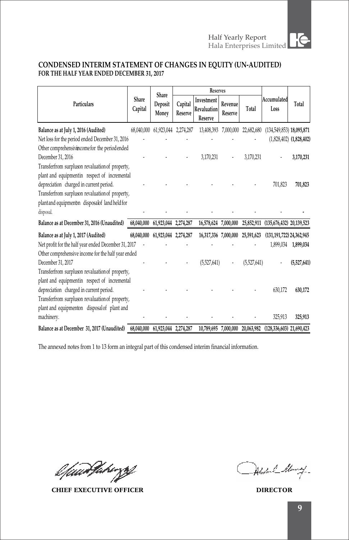

## **CONDENSED INTERIM STATEMENT OF CHANGES IN EQUITY (UN-AUDITED) FOR THE HALF YEAR ENDED DECEMBER 31, 2017**

|                                                                             | <b>Reserves</b><br>Share |                      |                    |                                             |                    |             |                                     |                             |
|-----------------------------------------------------------------------------|--------------------------|----------------------|--------------------|---------------------------------------------|--------------------|-------------|-------------------------------------|-----------------------------|
| Particulars                                                                 | Share<br>Capital         | Deposit<br>Money     | Capital<br>Reserve | Investment<br><b>Revaluation</b><br>Reserve | Revenue<br>Reserve | Total       | Accumulated<br>Loss                 | Total                       |
| Balance as at July 1, 2016 (Audited)                                        | 68,040,000               | 61,923,044 2,274,287 |                    | 13,408,393 7,000,000                        |                    | 22,682,680  | $(134,549,853)$ 18,095,871          |                             |
| Net loss for the period ended December 31, 2016                             |                          |                      |                    |                                             |                    |             |                                     | $(1,828,402)$ $(1,828,402)$ |
| Other comprehensivincome for the periodended                                |                          |                      |                    |                                             |                    |             |                                     |                             |
| December 31, 2016                                                           |                          |                      |                    | 3,170,231                                   |                    | 3.170.231   |                                     | 3,170,231                   |
| Transferfrom surpluson revaluation of property,                             |                          |                      |                    |                                             |                    |             |                                     |                             |
| plant and equipmentin respect of incremental                                |                          |                      |                    |                                             |                    |             |                                     |                             |
| depreciation charged in current period.                                     |                          |                      |                    |                                             |                    |             | 701.823                             | 701,823                     |
| Transferfrom surpluson revaluation of property,                             |                          |                      |                    |                                             |                    |             |                                     |                             |
| plant and equipment n disposalof land held for                              |                          |                      |                    |                                             |                    |             |                                     |                             |
| disposal.                                                                   |                          |                      |                    |                                             |                    |             |                                     |                             |
| Balance as at December 31, 2016 (Unaudited)                                 | 68,040,000               | 61,923,044 2,274,287 |                    | 16,578,624 7,000,000                        |                    |             | 25,852,911 (135,676,432) 20,139,523 |                             |
| Balance as at July 1, 2017 (Audited)                                        | 68,040,000               | 61,923,044 2,274,287 |                    | 16,317,336 7,000,000                        |                    | 25,591,623  | (131, 191, 722) 24, 362, 945        |                             |
| Net profit for the half year ended December 31, 2017                        |                          |                      |                    |                                             |                    |             |                                     | 1,899,034 1,899,034         |
| Other comprehensive income for the half year ended                          |                          |                      |                    |                                             |                    |             |                                     |                             |
| December 31, 2017                                                           |                          |                      |                    | (5.527.641)                                 |                    | (5.527.641) |                                     | (5,527,641)                 |
| Transferfrom surpluson revaluation of property,                             |                          |                      |                    |                                             |                    |             |                                     |                             |
| plant and equipmentin respect of incremental                                |                          |                      |                    |                                             |                    |             |                                     |                             |
| depreciation charged in current period.                                     |                          |                      |                    |                                             |                    |             | 630,172                             | 630,172                     |
| Transferfrom surpluson revaluation of property,                             |                          |                      |                    |                                             |                    |             |                                     |                             |
| plant and equipmenton disposal of plant and                                 |                          |                      |                    |                                             |                    |             |                                     |                             |
| machinery.                                                                  |                          |                      |                    |                                             |                    |             | 325,913                             | 325,913                     |
| Balance as at December 31, 2017 (Unaudited) 68,040,000 61,923,044 2,274,287 |                          |                      |                    | 10,789,695 7,000,000                        |                    |             | 20,063,982 (128,336,603) 21,690,423 |                             |

l*fawdfahr*ysf

**CHIEF EXECUTIVE OFFICER DIRECTOR**

Abstral Alanay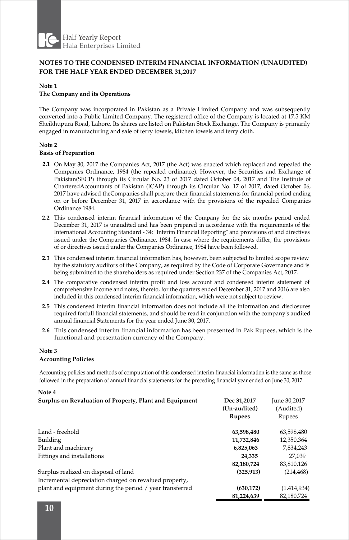

### **NOTES TO THE CONDENSED INTERIM FINANCIAL INFORMATION (UNAUDITED) FOR THE HALF YEAR ENDED DECEMBER 31,2017**

#### **Note 1**

#### **The Company and its Operations**

The Company was incorporated in Pakistan as a Private Limited Company and was subsequently converted into a Public Limited Company. The registered office of the Company is located at 17.5 KM Sheikhupura Road, Lahore. Its shares are listed on Pakistan Stock Exchange. The Company is primarily engaged in manufacturing and sale of terry towels, kitchen towels and terry cloth.

#### **Note 2**

#### **Basis of Preparation**

- **2.1** On May 30, 2017 the Companies Act, 2017 (the Act) was enacted which replaced and repealed the Companies Ordinance, 1984 (the repealed ordinance). However, the Securities and Exchange of Pakistan(SECP) through its Circular No. 23 of 2017 dated October 04, 2017 and The Institute of CharteredAccountants of Pakistan (ICAP) through its Circular No. 17 of 2017, dated October 06, 2017 have advised theCompanies shall prepare their financial statements for financial period ending on or before December 31, 2017 in accordance with the provisions of the repealed Companies Ordinance 1984.
- **2.2** This condensed interim financial information of the Company for the six months period ended December 31, 2017 is unaudited and has been prepared in accordance with the requirements of the International Accounting Standard - 34: "Interim Financial Reporting" and provisions of and directives issued under the Companies Ordinance, 1984. In case where the requirements differ, the provisions of or directives issued under the Companies Ordinance, 1984 have been followed.
- **2.3** This condensed interim financial information has, however, been subjected to limited scope review by the statutory auditors of the Company, as required by the Code of Corporate Governance and is being submitted to the shareholders as required under Section 237 of the Companies Act, 2017.
- **2.4** The comparative condensed interim profit and loss account and condensed interim statement of comprehensive income and notes, thereto, for the quarters ended December 31, 2017 and 2016 are also included in this condensed interim financial information, which were not subject to review.
- **2.5** This condensed interim financial information does not include all the information and disclosures required forfull financial statements, and should be read in conjunction with the company's audited annual financial Statements for the year ended June 30, 2017.
- **2.6** This condensed interim financial information has been presented in Pak Rupees, which is the functional and presentation currency of the Company.

#### **Note 3**

**Note 4**

#### **Accounting Policies**

Accounting policies and methods of computation of this condensed interim financial information is the same as those followed in the preparation of annual financial statements for the preceding financial year ended on June 30, 2017.

| 14 UW I<br>Surplus on Revaluation of Property, Plant and Equipment | Dec 31,2017<br>(Un-audited) | June 30,2017<br>(Audited) |
|--------------------------------------------------------------------|-----------------------------|---------------------------|
|                                                                    | <b>Rupees</b>               | Rupees                    |
| Land - freehold                                                    | 63,598,480                  | 63,598,480                |
| Building                                                           | 11,732,846                  | 12,350,364                |
| Plant and machinery                                                | 6,825,063                   | 7,834,243                 |
| Fittings and installations                                         | 24,335                      | 27,039                    |
|                                                                    | 82,180,724                  | 83,810,126                |
| Surplus realized on disposal of land                               | (325, 913)                  | (214, 468)                |
| Incremental depreciation charged on revalued property,             |                             |                           |
| plant and equipment during the period / year transferred           | (630, 172)                  | (1,414,934)               |
|                                                                    | 81,224,639                  | 82,180,724                |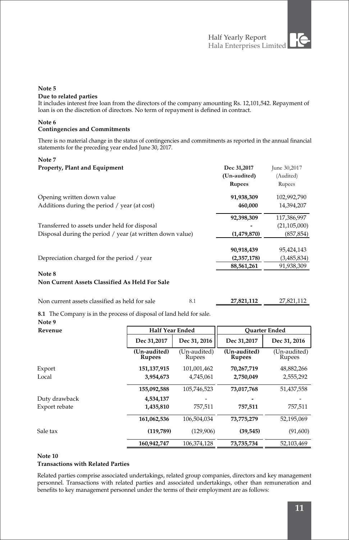#### **Note 5**

#### **Due to related parties**

It includes interest free loan from the directors of the company amounting Rs. 12,101,542. Repayment of loan is on the discretion of directors. No term of repayment is defined in contract.

#### **Note 6 Contingencies and Commitments**

There is no material change in the status of contingencies and commitments as reported in the annual financial statements for the preceding year ended June 30, 2017.

#### **Note 7**

| Property, Plant and Equipment                             | Dec 31,2017<br>(Un-audited) | June 30,2017<br>(Audited) |
|-----------------------------------------------------------|-----------------------------|---------------------------|
|                                                           | <b>Rupees</b>               | Rupees                    |
| Opening written down value                                | 91,938,309                  | 102,992,790               |
| Additions during the period / year (at cost)              | 460,000                     | 14,394,207                |
|                                                           | 92,398,309                  | 117,386,997               |
| Transferred to assets under held for disposal             |                             | (21, 105, 000)            |
| Disposal during the period / year (at written down value) | (1,479,870)                 | (857, 854)                |
|                                                           | 90,918,439                  | 95,424,143                |
| Depreciation charged for the period / year                | (2,357,178)                 | (3,485,834)               |
|                                                           | 88,561,261                  | 91,938,309                |
| Note 8                                                    |                             |                           |
| Non Current Assets Classified As Held For Sale            |                             |                           |

### Non current assets classified as held for sale 8.1 **27,821,112** 27,821,112

**8.1** The Company is in the process of disposal of land held for sale.

### **Note 9**

| Revenue       | <b>Half Year Ended</b>        |                        |                               | <b>Ouarter Ended</b>   |
|---------------|-------------------------------|------------------------|-------------------------------|------------------------|
|               | Dec 31,2017                   | Dec 31, 2016           | Dec 31,2017                   | Dec 31, 2016           |
|               | (Un-audited)<br><b>Rupees</b> | (Un-audited)<br>Rupees | (Un-audited)<br><b>Rupees</b> | (Un-audited)<br>Rupees |
| Export        | 151, 137, 915                 | 101,001,462            | 70,267,719                    | 48,882,266             |
| Local         | 3,954,673                     | 4,745,061              | 2,750,049                     | 2,555,292              |
|               | 155,092,588                   | 105,746,523            | 73,017,768                    | 51,437,558             |
| Duty drawback | 4,534,137                     |                        |                               |                        |
| Export rebate | 1,435,810                     | 757.511                | 757,511                       | 757,511                |
|               | 161,062,536                   | 106,504,034            | 73,775,279                    | 52,195,069             |
| Sale tax      | (119,789)                     | (129,906)              | (39, 545)                     | (91,600)               |
|               | 160,942,747                   | 106.374.128            | 73,735,734                    | 52,103,469             |

#### **Note 10**

#### **Transactions with Related Parties**

 Related parties comprise associated undertakings, related group companies, directors and key management personnel. Transactions with related parties and associated undertakings, other than remuneration and benefits to key management personnel under the terms of their employment are as follows: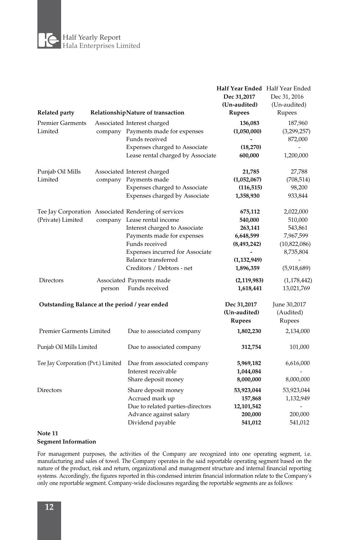E Half Yearly Report Hala Enterprises Limited

|                                                |        |                                                                                                                                                                                                                                                             | Half Year Ended Half Year Ended<br>Dec 31,2017<br>(Un-audited)                                 | Dec 31, 2016<br>(Un-audited)                                                             |
|------------------------------------------------|--------|-------------------------------------------------------------------------------------------------------------------------------------------------------------------------------------------------------------------------------------------------------------|------------------------------------------------------------------------------------------------|------------------------------------------------------------------------------------------|
| Related party                                  |        | RelationshipNature of transaction                                                                                                                                                                                                                           | Rupees                                                                                         | Rupees                                                                                   |
| <b>Premier Garments</b><br>Limited             |        | Associated Interest charged<br>company Payments made for expenses<br>Funds received<br>Expenses charged to Associate<br>Lease rental charged by Associate                                                                                                   | 136,083<br>(1,050,000)<br>(18,270)<br>600,000                                                  | 187,960<br>(3,299,257)<br>872,000<br>1,200,000                                           |
| Punjab Oil Mills<br>Limited                    |        | Associated Interest charged<br>company Payments made<br>Expenses charged to Associate<br>Expenses charged by Associate                                                                                                                                      | 21,785<br>(1,052,067)<br>(116, 515)<br>1,358,930                                               | 27,788<br>(708, 514)<br>98,200<br>933,844                                                |
| (Private) Limited                              |        | Tee Jay Corporation Associated Rendering of services<br>company Lease rental income<br>Interest charged to Associate<br>Payments made for expenses<br>Funds received<br>Expenses incurred for Associate<br>Balance transferred<br>Creditors / Debtors - net | 675,112<br>540,000<br>263,141<br>6,648,599<br>(8, 493, 242)<br>۰<br>(1, 132, 949)<br>1,896,359 | 2,022,000<br>510,000<br>543,861<br>7,967,599<br>(10,822,086)<br>8,735,804<br>(5,918,689) |
| Directors                                      | person | Associated Payments made<br>Funds received                                                                                                                                                                                                                  | (2, 119, 983)<br>1,618,441                                                                     | (1,178,442)<br>13,021,769                                                                |
| Outstanding Balance at the period / year ended |        |                                                                                                                                                                                                                                                             | Dec 31,2017<br>(Un-audited)<br>Rupees                                                          | June 30,2017<br>(Audited)<br>Rupees                                                      |
| Premier Garments Limited                       |        | Due to associated company                                                                                                                                                                                                                                   | 1,802,230                                                                                      | 2,134,000                                                                                |
| Punjab Oil Mills Limited                       |        | Due to associated company                                                                                                                                                                                                                                   | 312,754                                                                                        | 101,000                                                                                  |
| Tee Jay Corporation (Pvt.) Limited             |        | Due from associated company<br>Interest receivable<br>Share deposit money                                                                                                                                                                                   | 5,969,182<br>1,044,084<br>8,000,000                                                            | 6,616,000<br>8,000,000                                                                   |
| Directors                                      |        | Share deposit money<br>Accrued mark up<br>Due to related parties-directors<br>Advance against salary<br>Dividend payable                                                                                                                                    | 53,923,044<br>157,868<br>12,101,542<br>200,000<br>541,012                                      | 53,923,044<br>1,132,949<br>200,000<br>541,012                                            |

#### **Note 11 Segment Information**

For management purposes, the activities of the Company are recognized into one operating segment, i.e. manufacturing and sales of towel. The Company operates in the said reportable operating segment based on the nature of the product, risk and return, organizational and management structure and internal financial reporting systems. Accordingly, the figures reported in this condensed interim financial information relate to the Company's only one reportable segment. Company-wide disclosures regarding the reportable segments are as follows: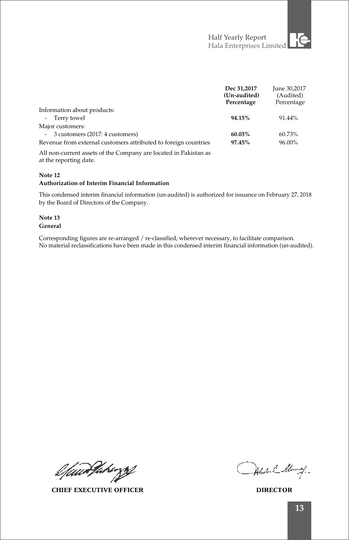|                                                                  | Dec 31,2017<br>(Un-audited)<br>Percentage | June 30,2017<br>(Audited)<br>Percentage |
|------------------------------------------------------------------|-------------------------------------------|-----------------------------------------|
| Information about products:                                      |                                           |                                         |
| - Terry towel                                                    | 94.15%                                    | 91.44%                                  |
| Major customers:                                                 |                                           |                                         |
| - 3 customers (2017: 4 customers)                                | 60.03%                                    | 60.73%                                  |
| Revenue from external customers attributed to foreign countries  | 97.45%                                    | 96.00%                                  |
| All non-current assets of the Company are located in Pakistan as |                                           |                                         |

All non-current assets of the Company are located in Pakistan as at the reporting date.

### **Note 12**

#### **Authorization of Interim Financial Information**

This condensed interim financial information (un-audited) is authorized for issuance on February 27, 2018 by the Board of Directors of the Company.

#### **Note 13 General**

Corresponding figures are re-arranged / re-classified, wherever necessary, to facilitate comparison. No material reclassifications have been made in this condensed interim financial information (un-audited).

l fuur Paragg

**CHIEF EXECUTIVE OFFICER DIRECTOR**

Abstral Many